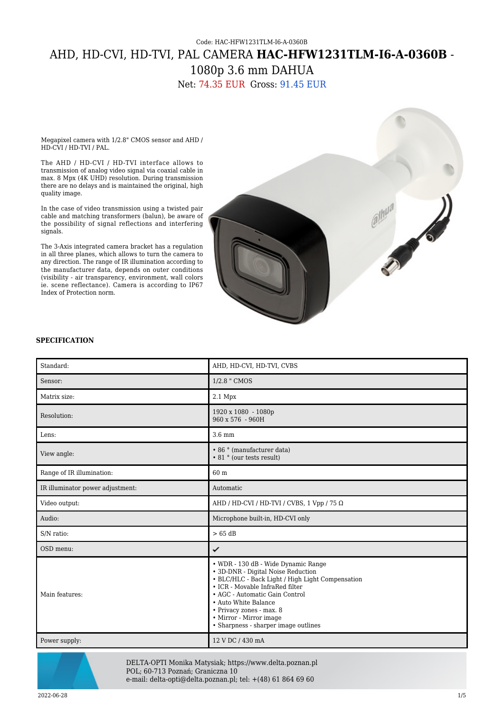## Code: HAC-HFW1231TLM-I6-A-0360B AHD, HD-CVI, HD-TVI, PAL CAMERA **HAC-HFW1231TLM-I6-A-0360B** - 1080p 3.6 mm DAHUA

Net: 74.35 EUR Gross: 91.45 EUR

Megapixel camera with 1/2.8" CMOS sensor and AHD / HD-CVI / HD-TVI / PAL.

The AHD / HD-CVI / HD-TVI interface allows to transmission of analog video signal via coaxial cable in max. 8 Mpx (4K UHD) resolution. During transmission there are no delays and is maintained the original, high quality image.

In the case of video transmission using a twisted pair cable and matching transformers (balun), be aware of the possibility of signal reflections and interfering signals.

The 3-Axis integrated camera bracket has a regulation in all three planes, which allows to turn the camera to any direction. The range of IR illumination according to the manufacturer data, depends on outer conditions (visibility - air transparency, environment, wall colors ie. scene reflectance). Camera is according to IP67 Index of Protection norm.



## **SPECIFICATION**

| Standard:                        | AHD, HD-CVI, HD-TVI, CVBS                                                                                                                                                                                                                                                                                                 |
|----------------------------------|---------------------------------------------------------------------------------------------------------------------------------------------------------------------------------------------------------------------------------------------------------------------------------------------------------------------------|
| Sensor:                          | 1/2.8 " CMOS                                                                                                                                                                                                                                                                                                              |
| Matrix size:                     | 2.1 Mpx                                                                                                                                                                                                                                                                                                                   |
| Resolution:                      | 1920 x 1080 - 1080p<br>960 x 576 - 960H                                                                                                                                                                                                                                                                                   |
| Lens:                            | $3.6 \text{ mm}$                                                                                                                                                                                                                                                                                                          |
| View angle:                      | • 86 ° (manufacturer data)<br>• 81 ° (our tests result)                                                                                                                                                                                                                                                                   |
| Range of IR illumination:        | 60 m                                                                                                                                                                                                                                                                                                                      |
| IR illuminator power adjustment: | Automatic                                                                                                                                                                                                                                                                                                                 |
| Video output:                    | AHD / HD-CVI / HD-TVI / CVBS, 1 Vpp / 75 $\Omega$                                                                                                                                                                                                                                                                         |
| Audio:                           | Microphone built-in, HD-CVI only                                                                                                                                                                                                                                                                                          |
| S/N ratio:                       | $>65$ dB                                                                                                                                                                                                                                                                                                                  |
| OSD menu:                        | ✓                                                                                                                                                                                                                                                                                                                         |
| Main features:                   | • WDR - 130 dB - Wide Dynamic Range<br>• 3D-DNR - Digital Noise Reduction<br>• BLC/HLC - Back Light / High Light Compensation<br>• ICR - Movable InfraRed filter<br>• AGC - Automatic Gain Control<br>• Auto White Balance<br>• Privacy zones - max. 8<br>• Mirror - Mirror image<br>• Sharpness - sharper image outlines |
| Power supply:                    | 12 V DC / 430 mA                                                                                                                                                                                                                                                                                                          |



DELTA-OPTI Monika Matysiak; https://www.delta.poznan.pl POL; 60-713 Poznań; Graniczna 10 e-mail: delta-opti@delta.poznan.pl; tel: +(48) 61 864 69 60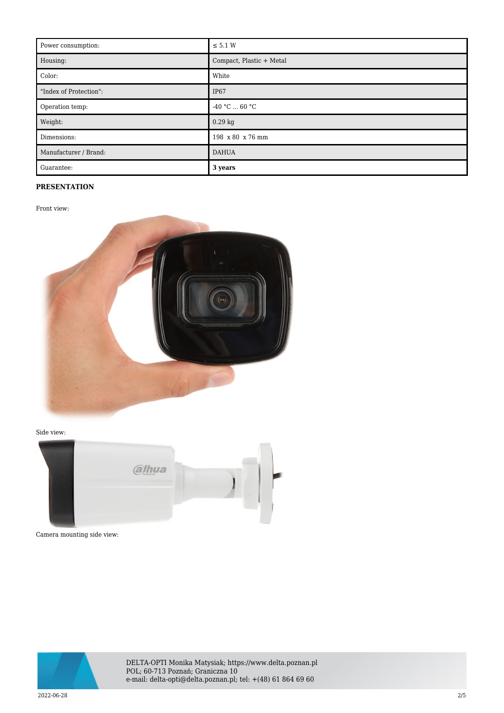| Power consumption:     | $\leq$ 5.1 W             |
|------------------------|--------------------------|
| Housing:               | Compact, Plastic + Metal |
| Color:                 | White                    |
| "Index of Protection": | IP67                     |
| Operation temp:        | $-40 °C  60 °C$          |
| Weight:                | $0.29$ kg                |
| Dimensions:            | 198 x 80 x 76 mm         |
| Manufacturer / Brand:  | <b>DAHUA</b>             |
| Guarantee:             | 3 years                  |

## **PRESENTATION**

Front view:



Side view:



Camera mounting side view:



DELTA-OPTI Monika Matysiak; https://www.delta.poznan.pl POL; 60-713 Poznań; Graniczna 10 e-mail: delta-opti@delta.poznan.pl; tel: +(48) 61 864 69 60

2022-06-28 2/5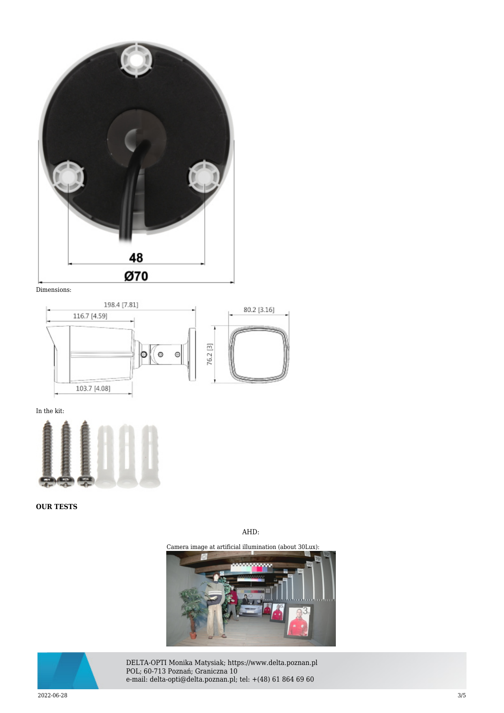





In the kit:



**OUR TESTS**

AHD:

Camera image at artificial illumination (about 30Lux):





DELTA-OPTI Monika Matysiak; https://www.delta.poznan.pl POL; 60-713 Poznań; Graniczna 10 e-mail: delta-opti@delta.poznan.pl; tel: +(48) 61 864 69 60

2022-06-28 3/5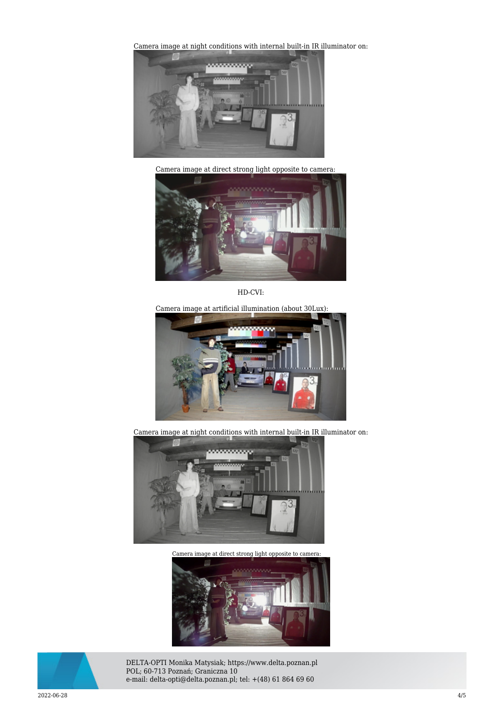[Camera image at night conditions with internal built-in IR il](https://sklep.delta.poznan.pl/obrazki2/hac-hfw1231tlm-i6-a-0360b_ahd_img11_d.jpg)luminator on:



Camera image at direct strong light opposite to camera:



HD-CVI:

Camera image at artificial illumination (about 30Lux):



Camera image at night conditions with internal built-in IR illuminator on:



[Camera image at direct strong light opposite to camera:](https://sklep.delta.poznan.pl/obrazki2/hac-hfw1231tlm-i6-a-0360b_cvi_img12_d.jpg) 





DELTA-OPTI Monika Matysiak; https://www.delta.poznan.pl POL; 60-713 Poznań; Graniczna 10 e-mail: delta-opti@delta.poznan.pl; tel: +(48) 61 864 69 60

2022-06-28 4/5